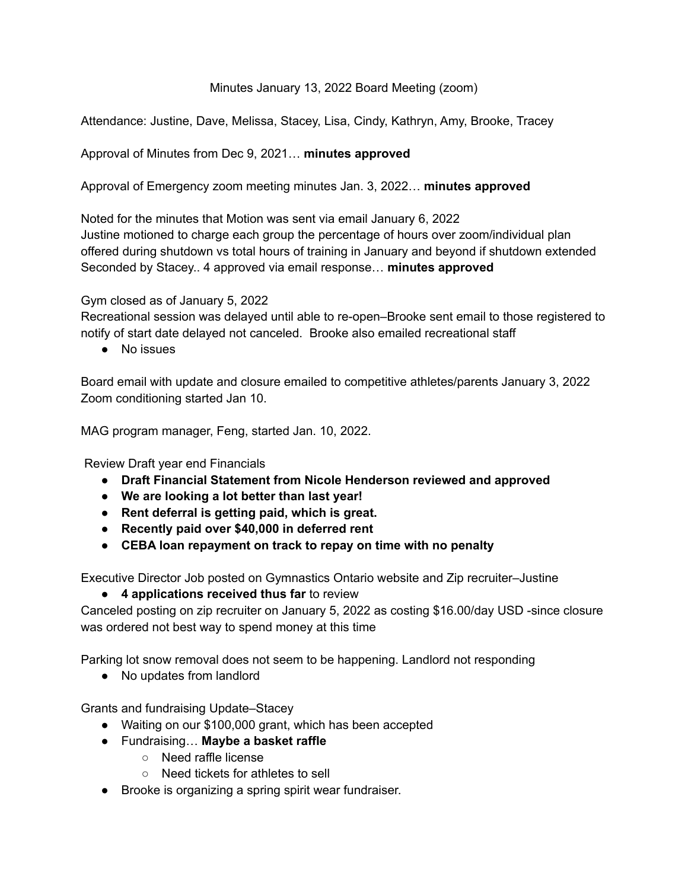## Minutes January 13, 2022 Board Meeting (zoom)

Attendance: Justine, Dave, Melissa, Stacey, Lisa, Cindy, Kathryn, Amy, Brooke, Tracey

## Approval of Minutes from Dec 9, 2021… **minutes approved**

Approval of Emergency zoom meeting minutes Jan. 3, 2022… **minutes approved**

Noted for the minutes that Motion was sent via email January 6, 2022

Justine motioned to charge each group the percentage of hours over zoom/individual plan offered during shutdown vs total hours of training in January and beyond if shutdown extended Seconded by Stacey.. 4 approved via email response… **minutes approved**

## Gym closed as of January 5, 2022

Recreational session was delayed until able to re-open–Brooke sent email to those registered to notify of start date delayed not canceled. Brooke also emailed recreational staff

● No issues

Board email with update and closure emailed to competitive athletes/parents January 3, 2022 Zoom conditioning started Jan 10.

MAG program manager, Feng, started Jan. 10, 2022.

Review Draft year end Financials

- **● Draft Financial Statement from Nicole Henderson reviewed and approved**
- **● We are looking a lot better than last year!**
- **● Rent deferral is getting paid, which is great.**
- **● Recently paid over \$40,000 in deferred rent**
- **● CEBA loan repayment on track to repay on time with no penalty**

Executive Director Job posted on Gymnastics Ontario website and Zip recruiter–Justine

● **4 applications received thus far** to review

Canceled posting on zip recruiter on January 5, 2022 as costing \$16.00/day USD -since closure was ordered not best way to spend money at this time

Parking lot snow removal does not seem to be happening. Landlord not responding

• No updates from landlord

Grants and fundraising Update–Stacey

- Waiting on our \$100,000 grant, which has been accepted
- Fundraising… **Maybe a basket raffle**
	- Need raffle license
	- Need tickets for athletes to sell
- Brooke is organizing a spring spirit wear fundraiser.